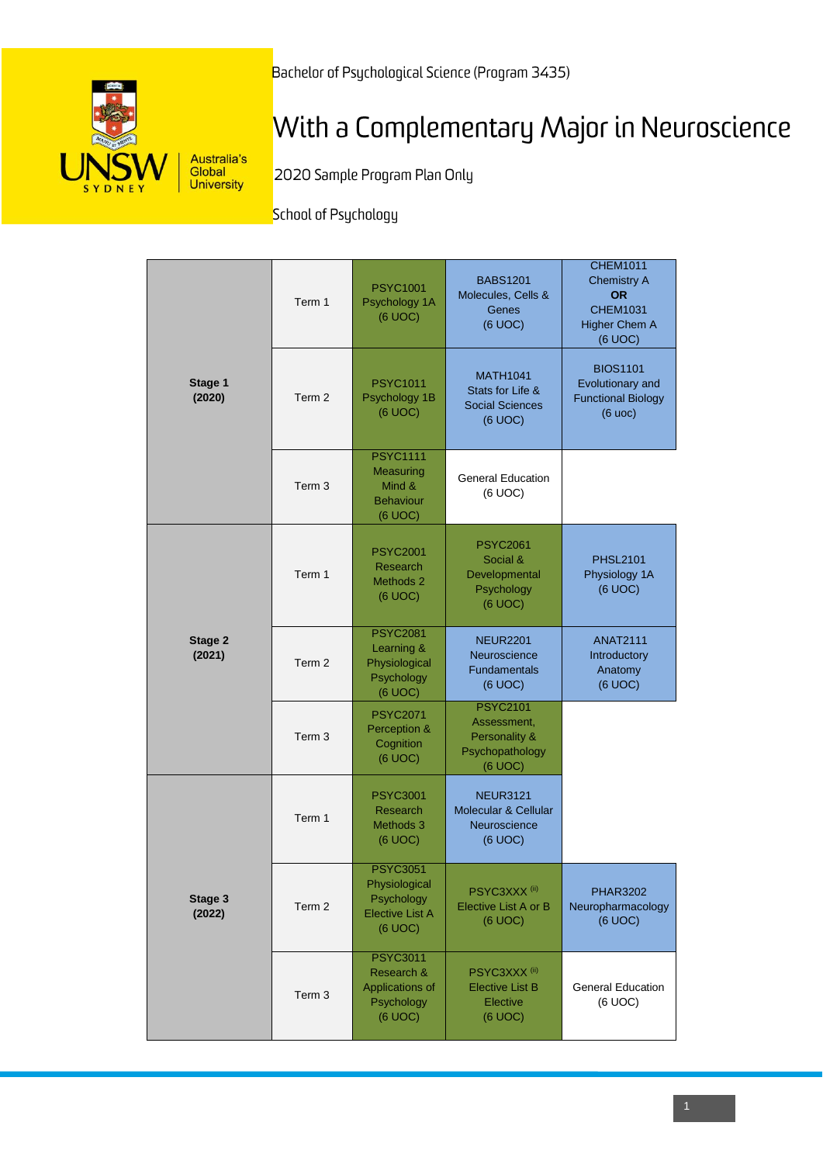Bachelor of Psychological Science (Program 3435)



# With a Complementary Major in Neuroscience

2020 Sample Program Plan Only

School of Psychology

|                   | Term 1            | <b>PSYC1001</b><br>Psychology 1A<br>(6 UOC)                                         | <b>BABS1201</b><br>Molecules, Cells &<br>Genes<br>(6 UOC)                     | <b>CHEM1011</b><br><b>Chemistry A</b><br><b>OR</b><br><b>CHEM1031</b><br><b>Higher Chem A</b><br>(6 UOC) |
|-------------------|-------------------|-------------------------------------------------------------------------------------|-------------------------------------------------------------------------------|----------------------------------------------------------------------------------------------------------|
| Stage 1<br>(2020) | Term 2            | <b>PSYC1011</b><br>Psychology 1B<br>(6 UOC)                                         | <b>MATH1041</b><br>Stats for Life &<br><b>Social Sciences</b><br>(6 UOC)      | <b>BIOS1101</b><br>Evolutionary and<br><b>Functional Biology</b><br>(6 uoc)                              |
|                   | Term <sub>3</sub> | <b>PSYC1111</b><br>Measuring<br>Mind &<br><b>Behaviour</b><br>(6 UOC)               | <b>General Education</b><br>(6 UOC)                                           |                                                                                                          |
|                   | Term 1            | <b>PSYC2001</b><br>Research<br><b>Methods 2</b><br>(6 UOC)                          | <b>PSYC2061</b><br>Social &<br>Developmental<br>Psychology<br>(6 UOC)         | <b>PHSL2101</b><br>Physiology 1A<br>(6 UOC)                                                              |
| Stage 2<br>(2021) | Term 2            | <b>PSYC2081</b><br>Learning &<br>Physiological<br>Psychology<br>(6 UOC)             | <b>NEUR2201</b><br>Neuroscience<br>Fundamentals<br>(6 UOC)                    | <b>ANAT2111</b><br>Introductory<br>Anatomy<br>(6 UOC)                                                    |
|                   | Term <sub>3</sub> | <b>PSYC2071</b><br>Perception &<br>Cognition<br>(6 UOC)                             | <b>PSYC2101</b><br>Assessment,<br>Personality &<br>Psychopathology<br>(6 UOC) |                                                                                                          |
|                   | Term 1            | <b>PSYC3001</b><br>Research<br>Methods 3<br>(6 UOC)                                 | <b>NEUR3121</b><br>Molecular & Cellular<br>Neuroscience<br>(6 UOC)            |                                                                                                          |
| Stage 3<br>(2022) | Term 2            | <b>PSYC3051</b><br>Physiological<br>Psychology<br><b>Elective List A</b><br>(6 UOC) | PSYC3XXX <sup>(ii)</sup><br>Elective List A or B<br>(6 UOC)                   | <b>PHAR3202</b><br>Neuropharmacology<br>(6 UOC)                                                          |
|                   | Term <sub>3</sub> | <b>PSYC3011</b><br>Research &<br><b>Applications of</b><br>Psychology<br>(6 UOC)    | PSYC3XXX <sup>(ii)</sup><br><b>Elective List B</b><br>Elective<br>(6 UOC)     | <b>General Education</b><br>(6 UOC)                                                                      |